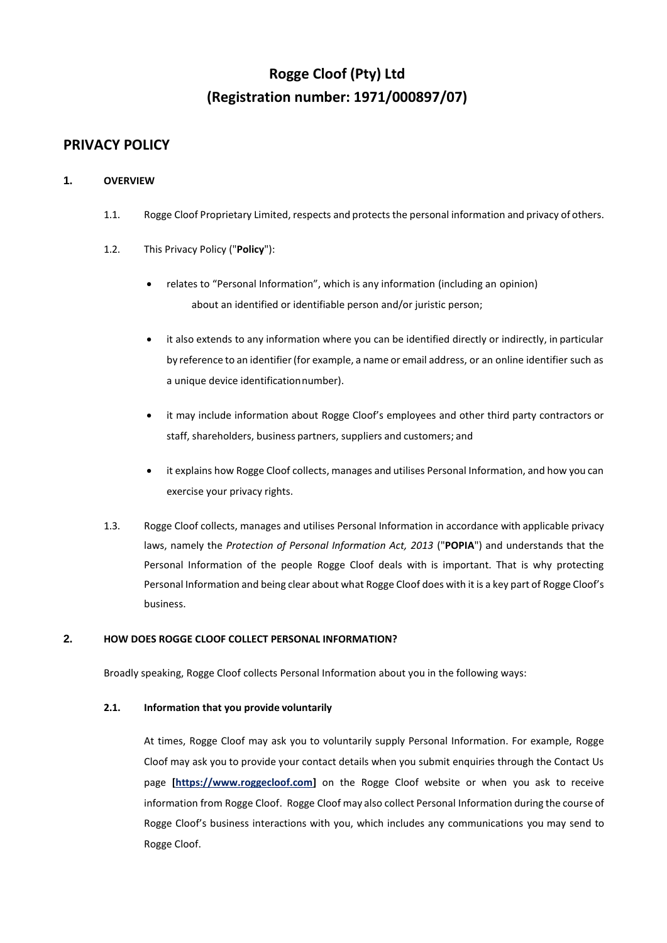# **Rogge Cloof (Pty) Ltd (Registration number: 1971/000897/07)**

# **PRIVACY POLICY**

# **1. OVERVIEW**

- 1.1. Rogge Cloof Proprietary Limited, respects and protects the personal information and privacy of others.
- 1.2. This Privacy Policy ("**Policy**"):
	- relates to "Personal Information", which is any information (including an opinion) about an identified or identifiable person and/or juristic person;
	- it also extends to any information where you can be identified directly or indirectly, in particular by reference to an identifier(for example, a name or email address, or an online identifier such as a unique device identificationnumber).
	- it may include information about Rogge Cloof's employees and other third party contractors or staff, shareholders, business partners, suppliers and customers; and
	- it explains how Rogge Cloof collects, manages and utilises Personal Information, and how you can exercise your privacy rights.
- 1.3. Rogge Cloof collects, manages and utilises Personal Information in accordance with applicable privacy laws, namely the *Protection of Personal Information Act, 2013* ("**POPIA**") and understands that the Personal Information of the people Rogge Cloof deals with is important. That is why protecting Personal Information and being clear about what Rogge Cloof does with it is a key part of Rogge Cloof's business.

# **2. HOW DOES ROGGE CLOOF COLLECT PERSONAL INFORMATION?**

Broadly speaking, Rogge Cloof collects Personal Information about you in the following ways:

# **2.1. Information that you provide voluntarily**

At times, Rogge Cloof may ask you to voluntarily supply Personal Information. For example, Rogge Cloof may ask you to provide your contact details when you submit enquiries through the Contact Us page **[https:/[/www.r](http://www./)oggecloof.com]** on the Rogge Cloof website or when you ask to receive information from Rogge Cloof. Rogge Cloof may also collect Personal Information during the course of Rogge Cloof's business interactions with you, which includes any communications you may send to Rogge Cloof.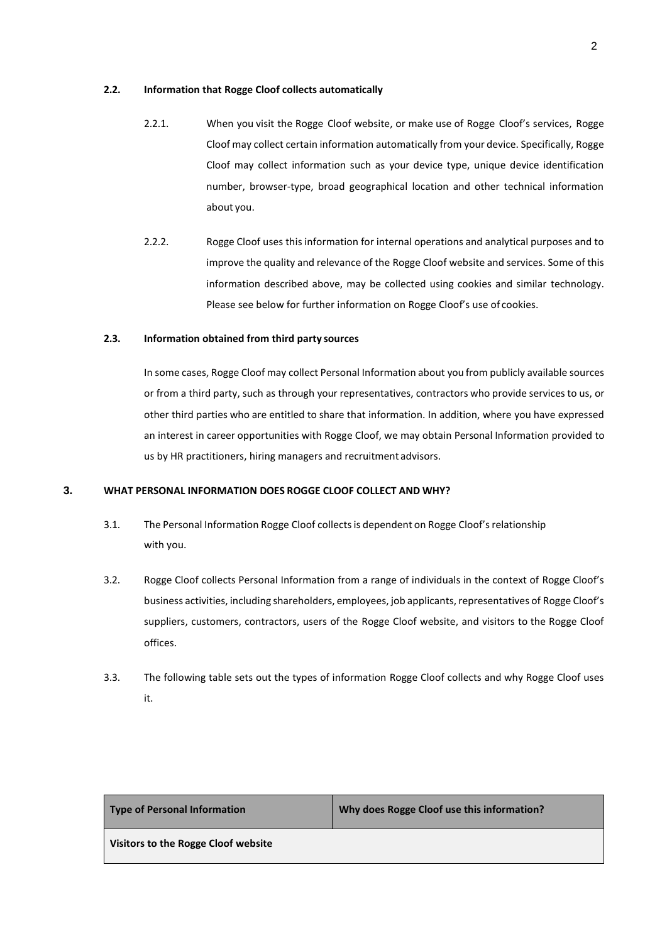## **2.2. Information that Rogge Cloof collects automatically**

- 2.2.1. When you visit the Rogge Cloof website, or make use of Rogge Cloof's services, Rogge Cloof may collect certain information automatically from your device. Specifically, Rogge Cloof may collect information such as your device type, unique device identification number, browser-type, broad geographical location and other technical information about you.
- 2.2.2. Rogge Cloof uses this information for internal operations and analytical purposes and to improve the quality and relevance of the Rogge Cloof website and services. Some of this information described above, may be collected using cookies and similar technology. Please see below for further information on Rogge Cloof's use of cookies.

# **2.3. Information obtained from third party sources**

In some cases, Rogge Cloof may collect Personal Information about you from publicly available sources or from a third party, such as through your representatives, contractors who provide services to us, or other third parties who are entitled to share that information. In addition, where you have expressed an interest in career opportunities with Rogge Cloof, we may obtain Personal Information provided to us by HR practitioners, hiring managers and recruitment advisors.

# **3. WHAT PERSONAL INFORMATION DOES ROGGE CLOOF COLLECT AND WHY?**

- 3.1. The Personal Information Rogge Cloof collectsis dependent on Rogge Cloof'srelationship with you.
- 3.2. Rogge Cloof collects Personal Information from a range of individuals in the context of Rogge Cloof's business activities, including shareholders, employees, job applicants, representatives of Rogge Cloof's suppliers, customers, contractors, users of the Rogge Cloof website, and visitors to the Rogge Cloof offices.
- 3.3. The following table sets out the types of information Rogge Cloof collects and why Rogge Cloof uses it.

| <b>Type of Personal Information</b> |  |  |
|-------------------------------------|--|--|
|-------------------------------------|--|--|

**Type of Personal Information Why does Rogge Cloof use this information?**

**Visitors to the Rogge Cloof website**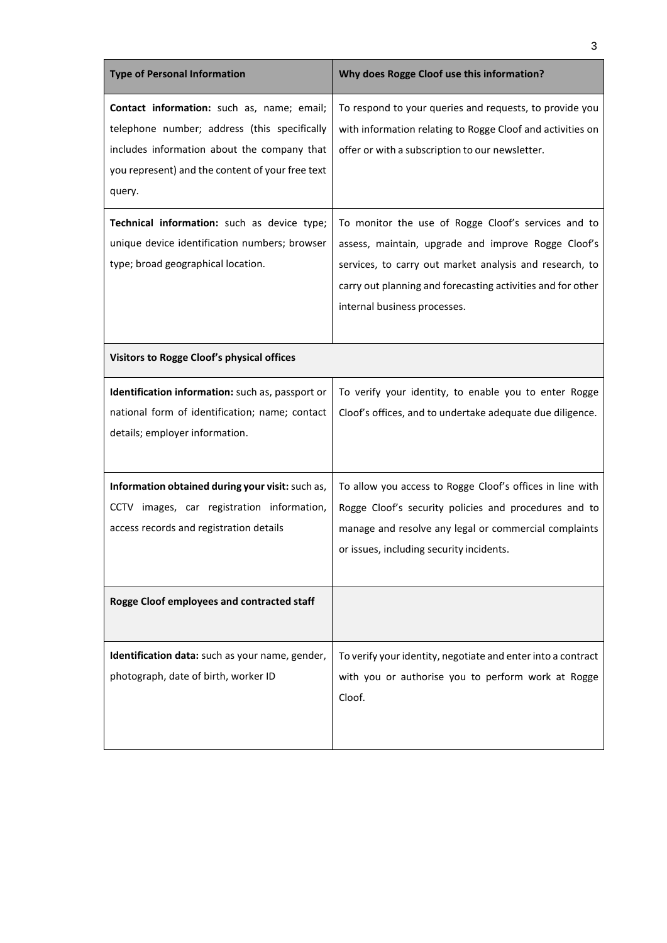| <b>Type of Personal Information</b>                                                                                                                                                                     | Why does Rogge Cloof use this information?                                                                                                                                                                                                                           |
|---------------------------------------------------------------------------------------------------------------------------------------------------------------------------------------------------------|----------------------------------------------------------------------------------------------------------------------------------------------------------------------------------------------------------------------------------------------------------------------|
| Contact information: such as, name; email;<br>telephone number; address (this specifically<br>includes information about the company that<br>you represent) and the content of your free text<br>query. | To respond to your queries and requests, to provide you<br>with information relating to Rogge Cloof and activities on<br>offer or with a subscription to our newsletter.                                                                                             |
| Technical information: such as device type;<br>unique device identification numbers; browser<br>type; broad geographical location.                                                                      | To monitor the use of Rogge Cloof's services and to<br>assess, maintain, upgrade and improve Rogge Cloof's<br>services, to carry out market analysis and research, to<br>carry out planning and forecasting activities and for other<br>internal business processes. |
| Visitors to Rogge Cloof's physical offices                                                                                                                                                              |                                                                                                                                                                                                                                                                      |
| Identification information: such as, passport or<br>national form of identification; name; contact<br>details; employer information.                                                                    | To verify your identity, to enable you to enter Rogge<br>Cloof's offices, and to undertake adequate due diligence.                                                                                                                                                   |
| Information obtained during your visit: such as,<br>CCTV images, car registration information,<br>access records and registration details                                                               | To allow you access to Rogge Cloof's offices in line with<br>Rogge Cloof's security policies and procedures and to<br>manage and resolve any legal or commercial complaints<br>or issues, including security incidents.                                              |
| Rogge Cloof employees and contracted staff                                                                                                                                                              |                                                                                                                                                                                                                                                                      |
| Identification data: such as your name, gender,<br>photograph, date of birth, worker ID                                                                                                                 | To verify your identity, negotiate and enter into a contract<br>with you or authorise you to perform work at Rogge<br>Cloof.                                                                                                                                         |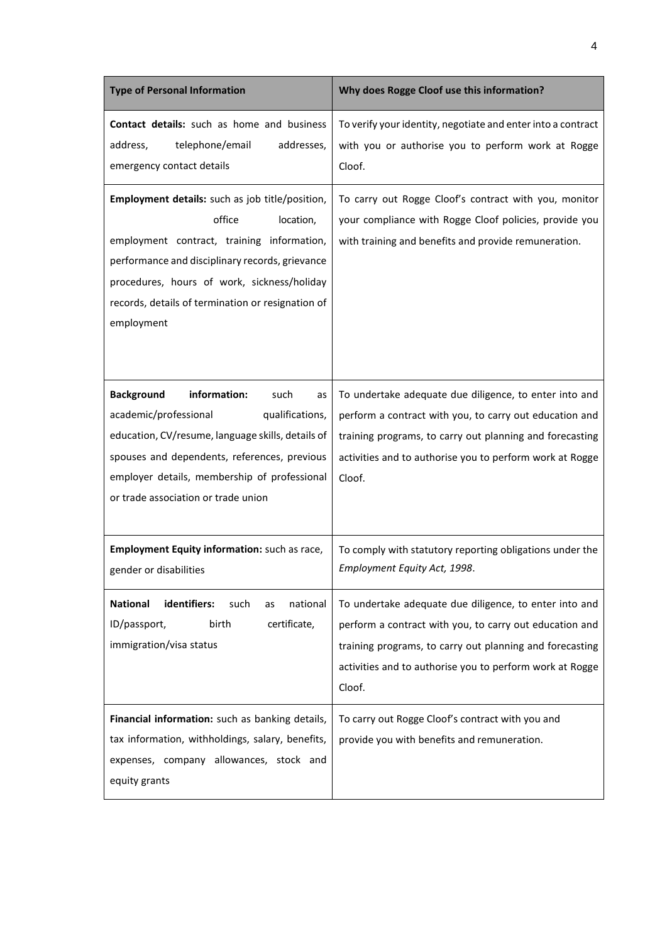| <b>Type of Personal Information</b>                                                                                                                                                                                                                                                       | Why does Rogge Cloof use this information?                                                                                                                                                                                                          |
|-------------------------------------------------------------------------------------------------------------------------------------------------------------------------------------------------------------------------------------------------------------------------------------------|-----------------------------------------------------------------------------------------------------------------------------------------------------------------------------------------------------------------------------------------------------|
| <b>Contact details:</b> such as home and business<br>telephone/email<br>addresses,<br>address,<br>emergency contact details                                                                                                                                                               | To verify your identity, negotiate and enter into a contract<br>with you or authorise you to perform work at Rogge<br>Cloof.                                                                                                                        |
| Employment details: such as job title/position,<br>office<br>location,<br>employment contract, training information,<br>performance and disciplinary records, grievance<br>procedures, hours of work, sickness/holiday<br>records, details of termination or resignation of<br>employment | To carry out Rogge Cloof's contract with you, monitor<br>your compliance with Rogge Cloof policies, provide you<br>with training and benefits and provide remuneration.                                                                             |
| <b>Background</b><br>information:<br>such<br>as<br>academic/professional<br>qualifications,<br>education, CV/resume, language skills, details of<br>spouses and dependents, references, previous<br>employer details, membership of professional<br>or trade association or trade union   | To undertake adequate due diligence, to enter into and<br>perform a contract with you, to carry out education and<br>training programs, to carry out planning and forecasting<br>activities and to authorise you to perform work at Rogge<br>Cloof. |
| Employment Equity information: such as race,<br>gender or disabilities                                                                                                                                                                                                                    | To comply with statutory reporting obligations under the<br>Employment Equity Act, 1998.                                                                                                                                                            |
| <b>National</b><br>identifiers:<br>national<br>such<br>as<br>ID/passport,<br>certificate,<br>birth<br>immigration/visa status                                                                                                                                                             | To undertake adequate due diligence, to enter into and<br>perform a contract with you, to carry out education and<br>training programs, to carry out planning and forecasting<br>activities and to authorise you to perform work at Rogge<br>Cloof. |
| Financial information: such as banking details,<br>tax information, withholdings, salary, benefits,<br>expenses, company allowances, stock and<br>equity grants                                                                                                                           | To carry out Rogge Cloof's contract with you and<br>provide you with benefits and remuneration.                                                                                                                                                     |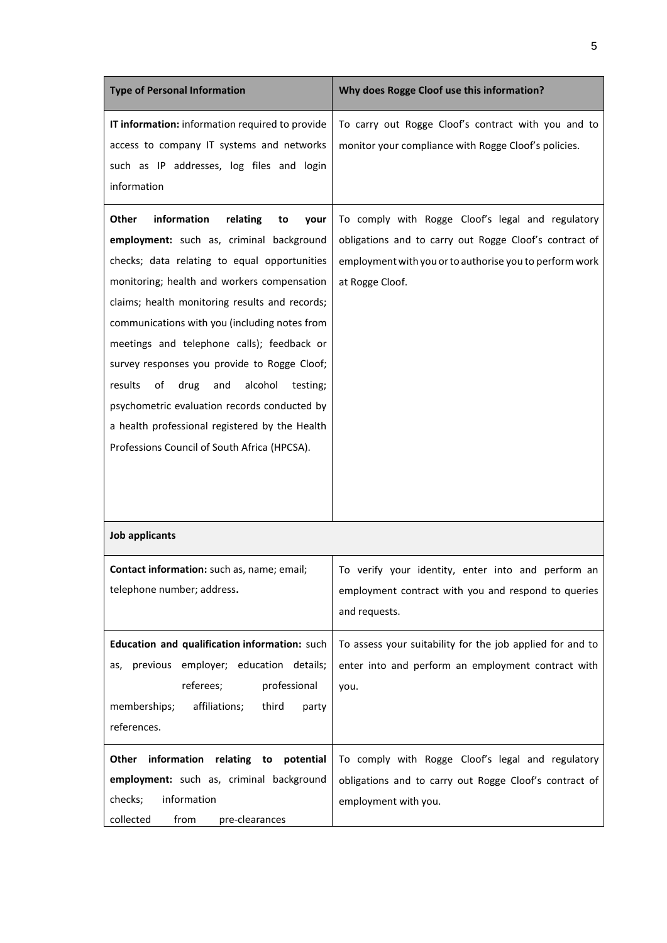| <b>Type of Personal Information</b>                                                                                                                                                                                                                                                                                                                                                                                                                                                                                                                                                                 | Why does Rogge Cloof use this information?                                                                                                                                                |
|-----------------------------------------------------------------------------------------------------------------------------------------------------------------------------------------------------------------------------------------------------------------------------------------------------------------------------------------------------------------------------------------------------------------------------------------------------------------------------------------------------------------------------------------------------------------------------------------------------|-------------------------------------------------------------------------------------------------------------------------------------------------------------------------------------------|
| IT information: information required to provide<br>access to company IT systems and networks<br>such as IP addresses, log files and login<br>information                                                                                                                                                                                                                                                                                                                                                                                                                                            | To carry out Rogge Cloof's contract with you and to<br>monitor your compliance with Rogge Cloof's policies.                                                                               |
| information<br>Other<br>relating<br>to<br>your<br>employment: such as, criminal background<br>checks; data relating to equal opportunities<br>monitoring; health and workers compensation<br>claims; health monitoring results and records;<br>communications with you (including notes from<br>meetings and telephone calls); feedback or<br>survey responses you provide to Rogge Cloof;<br>results<br>of<br>drug<br>and<br>alcohol<br>testing;<br>psychometric evaluation records conducted by<br>a health professional registered by the Health<br>Professions Council of South Africa (HPCSA). | To comply with Rogge Cloof's legal and regulatory<br>obligations and to carry out Rogge Cloof's contract of<br>employment with you or to authorise you to perform work<br>at Rogge Cloof. |
| <b>Job applicants</b>                                                                                                                                                                                                                                                                                                                                                                                                                                                                                                                                                                               |                                                                                                                                                                                           |
| Contact information: such as, name; email;<br>telephone number; address.                                                                                                                                                                                                                                                                                                                                                                                                                                                                                                                            | To verify your identity, enter into and perform an<br>employment contract with you and respond to queries<br>and requests.                                                                |
| Education and qualification information: such<br>previous employer; education details;<br>as,<br>referees;<br>professional<br>memberships;<br>affiliations;<br>third<br>party<br>references.                                                                                                                                                                                                                                                                                                                                                                                                        | To assess your suitability for the job applied for and to<br>enter into and perform an employment contract with<br>you.                                                                   |
| information relating to potential<br>Other<br>employment: such as, criminal background<br>checks;<br>information<br>collected<br>from<br>pre-clearances                                                                                                                                                                                                                                                                                                                                                                                                                                             | To comply with Rogge Cloof's legal and regulatory<br>obligations and to carry out Rogge Cloof's contract of<br>employment with you.                                                       |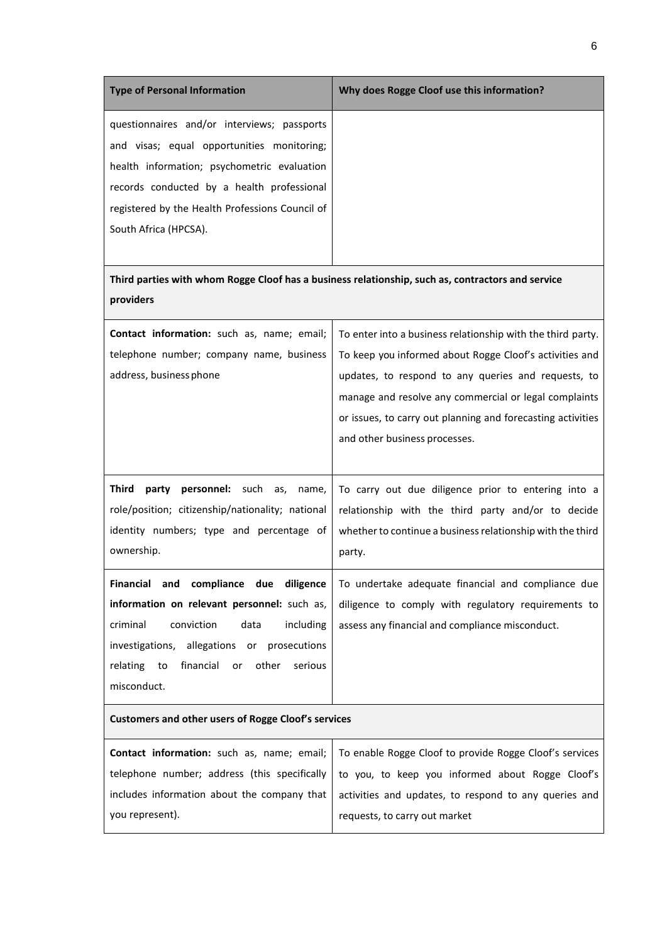| <b>Type of Personal Information</b>             | Why does Rogge Cloof use this information?                                                        |
|-------------------------------------------------|---------------------------------------------------------------------------------------------------|
| questionnaires and/or interviews; passports     |                                                                                                   |
| and visas; equal opportunities monitoring;      |                                                                                                   |
| health information; psychometric evaluation     |                                                                                                   |
| records conducted by a health professional      |                                                                                                   |
| registered by the Health Professions Council of |                                                                                                   |
| South Africa (HPCSA).                           |                                                                                                   |
|                                                 |                                                                                                   |
|                                                 | Third parties with whom Rogge Cloof has a business relationship, such as, contractors and service |
| providers                                       |                                                                                                   |
| Contact information: such as, name; email;      | To enter into a business relationship with the third party.                                       |
| telephone number; company name, business        | To keep you informed about Rogge Cloof's activities and                                           |
| address, business phone                         | updates, to respond to any queries and requests, to                                               |
|                                                 | manage and resolve any commercial or legal complaints                                             |
|                                                 | or issues, to carry out planning and forecasting activities                                       |

**Third party personnel:** such as, name, role/position; citizenship/nationality; national identity numbers; type and percentage of ownership. To carry out due diligence prior to entering into a relationship with the third party and/or to decide whether to continue a business relationship with the third party. **Financial and compliance due diligence information on relevant personnel:** such as, criminal conviction data including To undertake adequate financial and compliance due diligence to comply with regulatory requirements to assess any financial and compliance misconduct.

and other business processes.

#### **Customers and other users of Rogge Cloof's services**

investigations, allegations or prosecutions relating to financial or other serious

misconduct.

|                 | <b>Contact information:</b> such as, name; email;   To enable Rogge Cloof to provide Rogge Cloof's services |
|-----------------|-------------------------------------------------------------------------------------------------------------|
|                 | telephone number; address (this specifically   to you, to keep you informed about Rogge Cloof's             |
|                 | includes information about the company that   activities and updates, to respond to any queries and         |
| you represent). | requests, to carry out market                                                                               |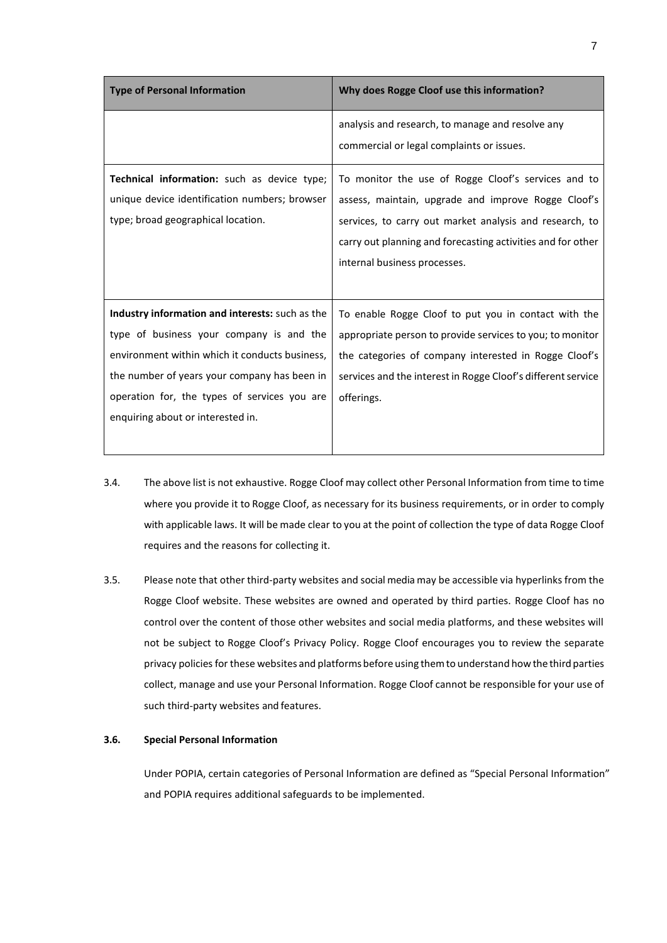| <b>Type of Personal Information</b>                                                                                                       | Why does Rogge Cloof use this information?                                                                                                                                                                                                                           |
|-------------------------------------------------------------------------------------------------------------------------------------------|----------------------------------------------------------------------------------------------------------------------------------------------------------------------------------------------------------------------------------------------------------------------|
|                                                                                                                                           | analysis and research, to manage and resolve any<br>commercial or legal complaints or issues.                                                                                                                                                                        |
| <b>Technical information:</b> such as device type;<br>unique device identification numbers; browser<br>type; broad geographical location. | To monitor the use of Rogge Cloof's services and to<br>assess, maintain, upgrade and improve Rogge Cloof's<br>services, to carry out market analysis and research, to<br>carry out planning and forecasting activities and for other<br>internal business processes. |
| Industry information and interests: such as the                                                                                           | To enable Rogge Cloof to put you in contact with the                                                                                                                                                                                                                 |
| type of business your company is and the                                                                                                  | appropriate person to provide services to you; to monitor                                                                                                                                                                                                            |
| environment within which it conducts business,                                                                                            | the categories of company interested in Rogge Cloof's                                                                                                                                                                                                                |
| the number of years your company has been in                                                                                              | services and the interest in Rogge Cloof's different service                                                                                                                                                                                                         |
| operation for, the types of services you are<br>enquiring about or interested in.                                                         | offerings.                                                                                                                                                                                                                                                           |
|                                                                                                                                           |                                                                                                                                                                                                                                                                      |

- 3.4. The above list is not exhaustive. Rogge Cloof may collect other Personal Information from time to time where you provide it to Rogge Cloof, as necessary for its business requirements, or in order to comply with applicable laws. It will be made clear to you at the point of collection the type of data Rogge Cloof requires and the reasons for collecting it.
- 3.5. Please note that other third-party websites and social media may be accessible via hyperlinks from the Rogge Cloof website. These websites are owned and operated by third parties. Rogge Cloof has no control over the content of those other websites and social media platforms, and these websites will not be subject to Rogge Cloof's Privacy Policy. Rogge Cloof encourages you to review the separate privacy policies for these websites and platforms before using themto understand howthe third parties collect, manage and use your Personal Information. Rogge Cloof cannot be responsible for your use of such third-party websites and features.

#### **3.6. Special Personal Information**

Under POPIA, certain categories of Personal Information are defined as "Special Personal Information" and POPIA requires additional safeguards to be implemented.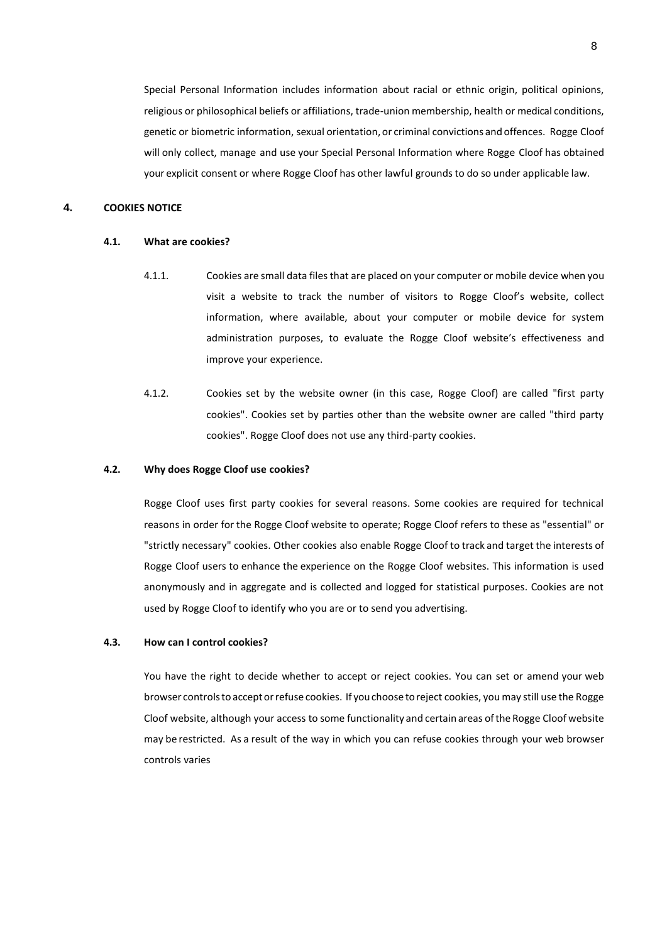Special Personal Information includes information about racial or ethnic origin, political opinions, religious or philosophical beliefs or affiliations, trade-union membership, health or medical conditions, genetic or biometric information, sexual orientation, or criminal convictions and offences. Rogge Cloof will only collect, manage and use your Special Personal Information where Rogge Cloof has obtained your explicit consent or where Rogge Cloof has other lawful grounds to do so under applicable law.

# **4. COOKIES NOTICE**

#### **4.1. What are cookies?**

- 4.1.1. Cookies are small data files that are placed on your computer or mobile device when you visit a website to track the number of visitors to Rogge Cloof's website, collect information, where available, about your computer or mobile device for system administration purposes, to evaluate the Rogge Cloof website's effectiveness and improve your experience.
- 4.1.2. Cookies set by the website owner (in this case, Rogge Cloof) are called "first party cookies". Cookies set by parties other than the website owner are called "third party cookies". Rogge Cloof does not use any third-party cookies.

### **4.2. Why does Rogge Cloof use cookies?**

Rogge Cloof uses first party cookies for several reasons. Some cookies are required for technical reasons in order for the Rogge Cloof website to operate; Rogge Cloof refers to these as "essential" or "strictly necessary" cookies. Other cookies also enable Rogge Cloof to track and target the interests of Rogge Cloof users to enhance the experience on the Rogge Cloof websites. This information is used anonymously and in aggregate and is collected and logged for statistical purposes. Cookies are not used by Rogge Cloof to identify who you are or to send you advertising.

# **4.3. How can I control cookies?**

You have the right to decide whether to accept or reject cookies. You can set or amend your web browser controlsto acceptorrefuse cookies. If youchoose toreject cookies, you may still use the Rogge Cloof website, although your access to some functionality and certain areas ofthe Rogge Cloof website may be restricted. As a result of the way in which you can refuse cookies through your web browser controls varies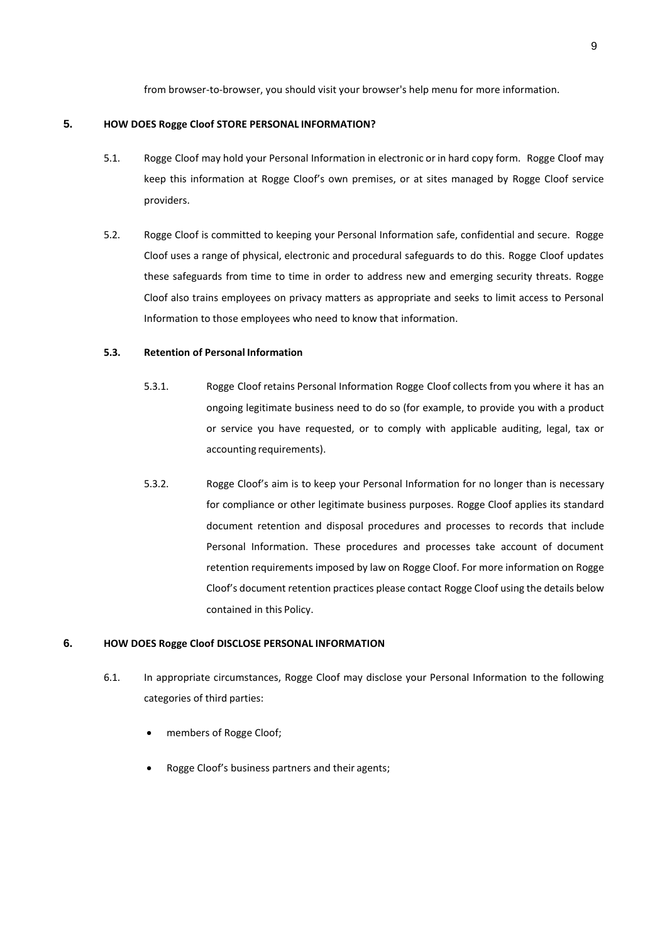from browser-to-browser, you should visit your browser's help menu for more information.

# **5. HOW DOES Rogge Cloof STORE PERSONAL INFORMATION?**

- 5.1. Rogge Cloof may hold your Personal Information in electronic or in hard copy form. Rogge Cloof may keep this information at Rogge Cloof's own premises, or at sites managed by Rogge Cloof service providers.
- 5.2. Rogge Cloof is committed to keeping your Personal Information safe, confidential and secure. Rogge Cloof uses a range of physical, electronic and procedural safeguards to do this. Rogge Cloof updates these safeguards from time to time in order to address new and emerging security threats. Rogge Cloof also trains employees on privacy matters as appropriate and seeks to limit access to Personal Information to those employees who need to know that information.

# **5.3. Retention of Personal Information**

- 5.3.1. Rogge Cloof retains Personal Information Rogge Cloof collects from you where it has an ongoing legitimate business need to do so (for example, to provide you with a product or service you have requested, or to comply with applicable auditing, legal, tax or accounting requirements).
- 5.3.2. Rogge Cloof's aim is to keep your Personal Information for no longer than is necessary for compliance or other legitimate business purposes. Rogge Cloof applies its standard document retention and disposal procedures and processes to records that include Personal Information. These procedures and processes take account of document retention requirements imposed by law on Rogge Cloof. For more information on Rogge Cloof's document retention practices please contact Rogge Cloof using the details below contained in this Policy.

## **6. HOW DOES Rogge Cloof DISCLOSE PERSONAL INFORMATION**

- 6.1. In appropriate circumstances, Rogge Cloof may disclose your Personal Information to the following categories of third parties:
	- members of Rogge Cloof;
	- Rogge Cloof's business partners and their agents;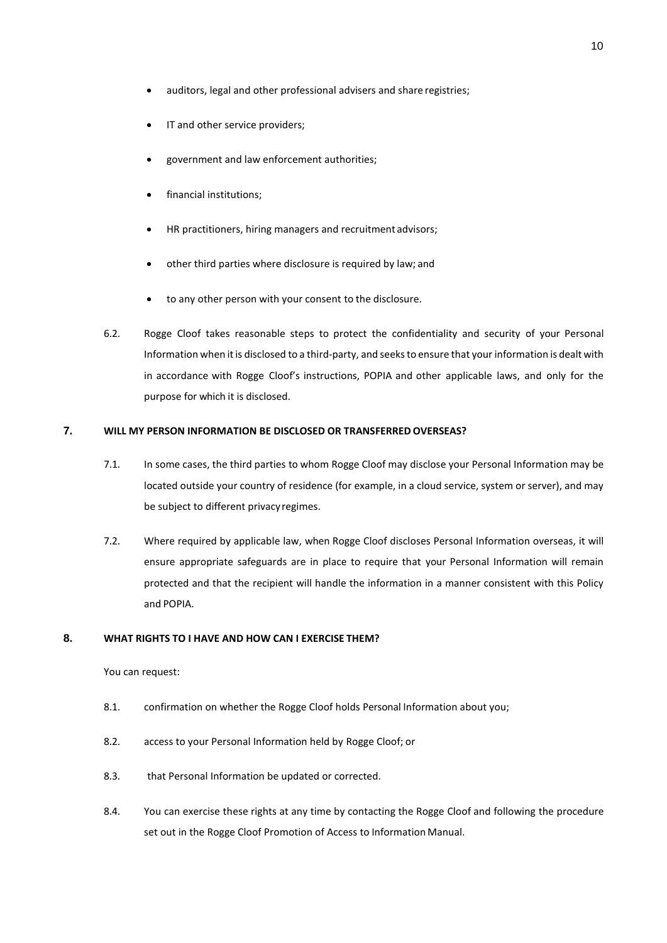- auditors, legal and other professional advisers and share registries;
- IT and other service providers;
- government and law enforcement authorities;
- financial institutions;
- HR practitioners, hiring managers and recruitment advisors;
- other third parties where disclosure is required by law; and
- to any other person with your consent to the disclosure.
- 6.2. Rogge Cloof takes reasonable steps to protect the confidentiality and security of your Personal Information when it is disclosed to a third-party, and seeks to ensure that your information is dealt with in accordance with Rogge Cloof's instructions, POPIA and other applicable laws, and only for the purpose for which it is disclosed.

# **7. WILL MY PERSON INFORMATION BE DISCLOSED OR TRANSFERREDOVERSEAS?**

- 7.1. In some cases, the third parties to whom Rogge Cloof may disclose your Personal Information may be located outside your country of residence (for example, in a cloud service, system or server), and may be subject to different privacyregimes.
- 7.2. Where required by applicable law, when Rogge Cloof discloses Personal Information overseas, it will ensure appropriate safeguards are in place to require that your Personal Information will remain protected and that the recipient will handle the information in a manner consistent with this Policy and POPIA.

## **8. WHAT RIGHTS TO I HAVE AND HOW CAN I EXERCISE THEM?**

You can request:

- 8.1. confirmation on whether the Rogge Cloof holds Personal Information about you;
- 8.2. access to your Personal Information held by Rogge Cloof; or
- 8.3. that Personal Information be updated or corrected.
- 8.4. You can exercise these rights at any time by contacting the Rogge Cloof and following the procedure set out in the Rogge Cloof Promotion of Access to Information Manual.